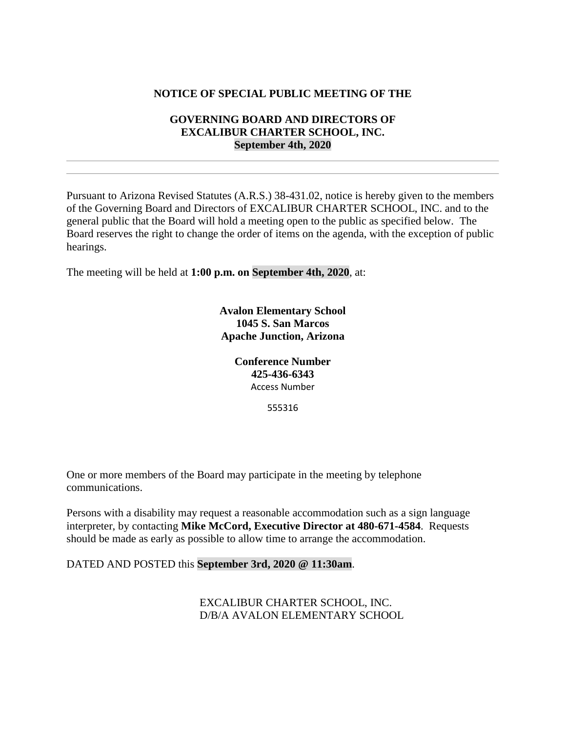## **NOTICE OF SPECIAL PUBLIC MEETING OF THE**

## **GOVERNING BOARD AND DIRECTORS OF EXCALIBUR CHARTER SCHOOL, INC. September 4th, 2020**

Pursuant to Arizona Revised Statutes (A.R.S.) 38-431.02, notice is hereby given to the members of the Governing Board and Directors of EXCALIBUR CHARTER SCHOOL, INC. and to the general public that the Board will hold a meeting open to the public as specified below. The Board reserves the right to change the order of items on the agenda, with the exception of public hearings.

The meeting will be held at **1:00 p.m. on September 4th, 2020**, at:

**Avalon Elementary School 1045 S. San Marcos Apache Junction, Arizona**

> **Conference Number 425-436-6343** Access Number

> > 555316

One or more members of the Board may participate in the meeting by telephone communications.

Persons with a disability may request a reasonable accommodation such as a sign language interpreter, by contacting **Mike McCord, Executive Director at 480-671-4584**. Requests should be made as early as possible to allow time to arrange the accommodation.

DATED AND POSTED this **September 3rd, 2020 @ 11:30am**.

EXCALIBUR CHARTER SCHOOL, INC. D/B/A AVALON ELEMENTARY SCHOOL